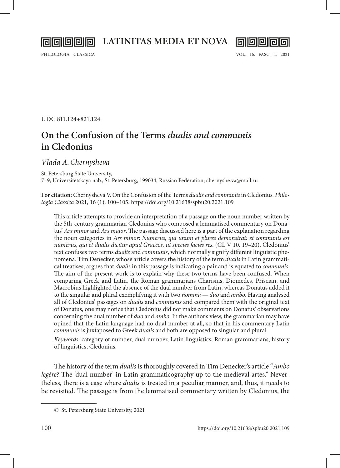**LATINITAS MEDIA ET NOVA**



**||a||G||G||Q** 

UDC 811.124+821.124

## **On the Confusion of the Terms** *dualis and communis* **in Cledonius**

*Vlada A.Chernysheva*

St. Petersburg State University,

7–9, Universitetskaya nab., St. Petersburg, 199034, Russian Federation; chernyshe.va@mail.ru

**For citation:** Chernysheva V. On the Confusion of the Terms *dualis and communis* in Cledonius*. Philologia Classica* 2021, 16 (1), 100–105.<https://doi.org/10.21638/spbu20.2021.109>

This article attempts to provide an interpretation of a passage on the noun number written by the 5th-century grammarian Cledonius who composed a lemmatised commentary on Donatus' *Ars minor* and *Ars maior*. The passage discussed here is a part of the explanation regarding the noun categories in *Ars minor*: *Numerus, qui unum et plures demonstrat: et communis est numerus, qui et dualis dicitur apud Graecos, ut species facies res*. (GL V 10. 19–20). Cledonius' text confuses two terms *dualis* and *communis*, which normally signify different linguistic phenomena. Tim Denecker, whose article covers the history of the term *dualis* in Latin grammatical treatises, argues that *dualis* in this passage is indicating a pair and is equated to *communis*. The aim of the present work is to explain why these two terms have been confused. When comparing Greek and Latin, the Roman grammarians Charisius, Diomedes, Priscian, and Macrobius highlighted the absence of the dual number from Latin, whereas Donatus added it to the singular and plural exemplifying it with two *nomina* — *duo* and *ambo*. Having analysed all of Cledonius' passages on *dualis* and *communis* and compared them with the original text of Donatus, one may notice that Cledonius did not make comments on Donatus' observations concerning the dual number of *duo* and *ambo*. In the author's view, the grammarian may have opined that the Latin language had no dual number at all, so that in his commentary Latin *communis* is juxtaposed to Greek *dualis* and both are opposed to singular and plural.

*Keywords:* category of number, dual number, Latin linguistics, Roman grammarians, history of linguistics, Cledonius.

The history of the term *dualis* is thoroughly covered in Tim Denecker's article "*Ambo legēre?* The 'dual number' in Latin grammaticography up to the medieval artes." Nevertheless, there is a case where *dualis* is treated in a peculiar manner, and, thus, it needs to be revisited. The passage is from the lemmatised commentary written by Cledonius, the

<sup>©</sup> St. Petersburg State University, 2021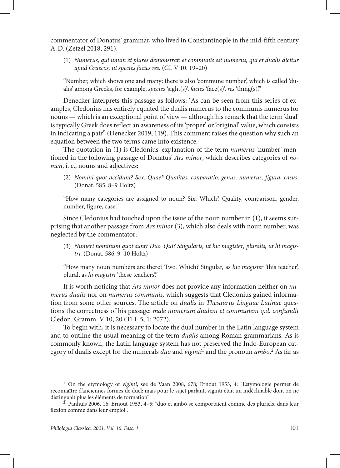commentator of Donatus' grammar, who lived in Constantinople in the mid-fifth century A.D. (Zetzel 2018, 291):

(1) *Numerus, qui unum et plures demonstrat: et communis est numerus, qui et dualis dicitur apud Graecos, ut species facies res.* (GL V 10. 19–20)

"Number, which shows one and many: there is also 'commune number', which is called 'dualis' among Greeks, for example, *species* 'sight(s)', *facies* 'face(s)', *res* 'thing(s)'."

Denecker interprets this passage as follows: "As can be seen from this series of examples, Cledonius has entirely equated the dualis numerus to the communis numerus for nouns — which is an exceptional point of view — although his remark that the term 'dual' is typically Greek does reflect an awareness of its 'proper' or 'original' value, which consists in indicating a pair" (Denecker 2019, 119). This comment raises the question why such an equation between the two terms came into existence.

The quotation in (1) is Cledonius' explanation of the term *numerus* 'number' mentioned in the following passage of Donatus' *Ars minor*, which describes categories of *nomen*, i. e., nouns and adjectives:

(2) *Nomini quot accidunt? Sex. Quae? Qualitas, conparatio, genus, numerus, figura, casus*. (Donat. 585. 8–9 Holtz)

"How many categories are assigned to noun? Six. Which? Quality, comparison, gender, number, figure, case."

Since Cledonius had touched upon the issue of the noun number in (1), it seems surprising that another passage from *Ars minor* (3), which also deals with noun number, was neglected by the commentator:

(3) *Numeri nominum quot sunt? Duo. Qui? Singularis, ut hic magister; pluralis, ut hi magistri.* (Donat. 586. 9–10 Holtz)

"How many noun numbers are there? Two. Which? Singular, as *hic magister* 'this teacher', plural, as *hi magistri* 'these teachers'."

It is worth noticing that *Ars minor* does not provide any information neither on *numerus dualis* nor on *numerus communis,* which suggests that Cledonius gained information from some other sources. The article on *dualis* in *Thesaurus Linguae Latinae* questions the correctness of his passage: *male numerum dualem et communem q.d. confundit*  Cledon. Gramm. V. 10, 20 (TLL 5, 1: 2072).

To begin with, it is necessary to locate the dual number in the Latin language system and to outline the usual meaning of the term *dualis* among Roman grammarians. As is commonly known, the Latin language system has not preserved the Indo-European category of dualis except for the numerals *duo* and *viginti*<sup>1</sup> and the pronoun *ambo*. 2 As far as

<sup>1</sup> On the etymology of *viginti*, see de Vaan 2008, 678; Ernout 1953, 4: "L'étymologie permet de reconnaître d'anciennes formes de duel; mais pour le sujet parlant, vīgintī était un indéclinable dont on ne distinguait plus les éléments de formation".

<sup>2</sup> Panhuis 2006, 16; Ernout 1953, 4–5: "duo et ambō se comportaient comme des pluriels, dans leur flexion comme dans leur emploi".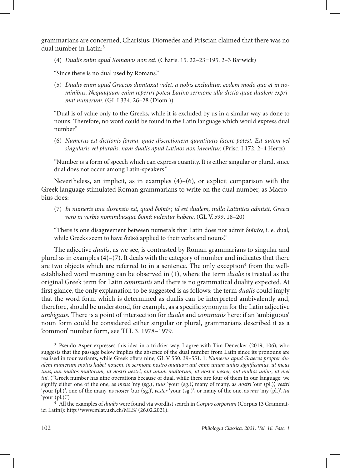grammarians are concerned, Charisius, Diomedes and Priscian claimed that there was no dual number in Latin:3

(4) *Dualis enim apud Romanos non est.* (Charis. 15. 22–23=195. 2–3 Barwick)

"Since there is no dual used by Romans."

(5) *Dualis enim apud Graecos dumtaxat valet, a nobis excluditur, eodem modo quo et in nominibus. Nequaquam enim reperiri potest Latino sermone ulla dictio quae dualem exprimat numerum*. (GL I 334. 26–28 (Diom.))

"Dual is of value only to the Greeks, while it is excluded by us in a similar way as done to nouns. Therefore, no word could be found in the Latin language which would express dual number."

(6) *Numerus est dictionis forma, quae discretionem quantitatis facere potest. Est autem vel singularis vel pluralis, nam dualis apud Latinos non invenitur.* (Prisc. I 172. 2–4 Hertz)

"Number is a form of speech which can express quantity. It is either singular or plural, since dual does not occur among Latin-speakers."

Nevertheless, an implicit, as in examples  $(4)$ – $(6)$ , or explicit comparison with the Greek language stimulated Roman grammarians to write on the dual number, as Macrobius does:

(7) *In numeris una dissensio est, quod δυϊκόν, id est dualem, nulla Latinitas admisit, Graeci vero in verbis nominibusque δυϊκά videntur habere*. (GL V. 599. 18–20)

"There is one disagreement between numerals that Latin does not admit δυϊκόν, i. e. dual, while Greeks seem to have δυϊκά applied to their verbs and nouns."

The adjective *dualis*, as we see, is contrasted by Roman grammarians to singular and plural as in examples  $(4)$ – $(7)$ . It deals with the category of number and indicates that there are two objects which are referred to in a sentence. The only exception<sup>4</sup> from the wellestablished word meaning can be observed in (1), where the term *dualis* is treated as the original Greek term for Latin *communis* and there is no grammatical duality expected. At first glance, the only explanation to be suggested is as follows: the term *dualis* could imply that the word form which is determined as dualis can be interpreted ambivalently and, therefore, should be understood, for example, as a specific synonym for the Latin adjective *ambiguus*. There is a point of intersection for *dualis* and *communis* here: if an 'ambiguous' noun form could be considered either singular or plural, grammarians described it as a 'common' number form, see TLL 3. 1978–1979.

<sup>3</sup> Pseudo-Asper expresses this idea in a trickier way. I agree with Tim Denecker (2019, 106), who suggests that the passage below implies the absence of the dual number from Latin since its pronouns are realised in four variants, while Greek offers nine, GL V 550. 39–551. 1: *Numerus apud Graecos propter dualem numerum motus habet nouem, in sermone nostro quatuor: aut enim unum unius significamus, ut meus tuus, aut multos multorum, ut nostri uestri, aut unum multorum, ut noster uester, aut multos unius, ut mei tui.* ("Greek number has nine operations because of dual, while there are four of them in our language: we signify either one of the one, as *meus* 'my (sg.)', *tuus* 'your (sg.)', many of many, as *nostri* 'our (pl.)', *vestri*  'your (pl.)*'*, one of the many, as *noster* 'our (sg.)', *vester* 'your (sg.)*'*, or many of the one, as *mei* 'my (pl.)', *tui*  'your  $(\text{pl.})$ ")

<sup>4</sup> All the examples of *dualis* were found via wordlist search in *Corpus corporum* (Corpus 13 Grammatici Latini):<http://www.mlat.uzh.ch/MLS/> (26.02.2021).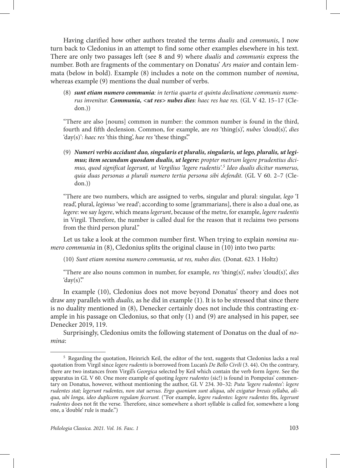Having clarified how other authors treated the terms *dualis* and *communis*, I now turn back to Cledonius in an attempt to find some other examples elsewhere in his text. There are only two passages left (see 8 and 9) where *dualis* and *communis* express the number. Both are fragments of the commentary on Donatus' *Ars maior* and contain lemmata (below in bold). Example (8) includes a note on the common number of *nomina*, whereas example (9) mentions the dual number of verbs.

(8) *sunt etiam numero communia: in tertia quarta et quinta declinatione communis numerus invenitur. Communia, <ut res> nubes dies: haec res hae res.* (GL V 42. 15–17 (Cledon.))

"There are also [nouns] common in number: the common number is found in the third, fourth and fifth declension. Common, for example, are *res* 'thing(s)', *nubes* 'cloud(s)', *dies* 'day(s)': *haec res* 'this thing', *hae res* 'these things'."

(9) *Numeri verbis accidunt duo, singularis et pluralis, singularis, ut lego, pluralis, ut legimus; item secundum quosdam dualis, ut legere: propter metrum legere prudentius dicimus, quod significat legerunt, ut Vergilius 'legere rudentis'.5 Ideo dualis dicitur numerus, quia duas personas a plurali numero tertia persona sibi defendit.* (GL V 60. 2–7 (Cledon.))

"There are two numbers, which are assigned to verbs, singular and plural: singular, *lego* 'I read', plural, *legimus* 'we read'; according to some [grammarians], there is also a dual one, as *legere*: we say *legere*, which means *legerunt*, because of the metre, for example, *legere rudentis*  in Virgil. Therefore, the number is called dual for the reason that it reclaims two persons from the third person plural."

Let us take a look at the common number first. When trying to explain *nomina numero communia* in (8), Cledonius splits the original clause in (10) into two parts:

(10) *Sunt etiam nomina numero communia, ut res, nubes dies.* (Donat. 623. 1 Holtz)

"There are also nouns common in number, for example, *res* 'thing(s)', *nubes* 'cloud(s)', *dies*  'day $(s)$ ."

In example (10), Cledonius does not move beyond Donatus' theory and does not draw any parallels with *dualis,* as he did in example (1). It is to be stressed that since there is no duality mentioned in (8), Denecker certainly does not include this contrasting example in his passage on Cledonius, so that only (1) and (9) are analysed in his paper, see Denecker 2019, 119.

Surprisingly, Cledonius omits the following statement of Donatus on the dual of *nomina*:

<sup>5</sup> Regarding the quotation, Heinrich Keil, the editor of the text, suggests that Cledonius lacks a real quotation from Virgil since *legere rudentis* is borrowed from Lucan's *De Bello Civili* (3. 44). On the contrary, there are two instances from Virgil's *Georgica* selected by Keil which contain the verb form *legere*. See the apparatus in GL V 60. One more example of quoting *legere rudentes* (sic!) is found in Pompeius' commentary on Donatus, however, without mentioning the author, GL V 234. 30–32: *Puta 'legere rudentes': legere rudentes stat; legerunt rudentes, non stat uersus. Ergo quoniam sunt aliqua, ubi exigatur breuis syllaba, aliqua, ubi longa, ideo duplicem regulam fecerunt.* ("For example, *legere rudentes: legere rudentes* fits*, legerunt rudentes* does not fit the verse. Therefore, since somewhere a short syllable is called for, somewhere a long one, a 'double' rule is made.")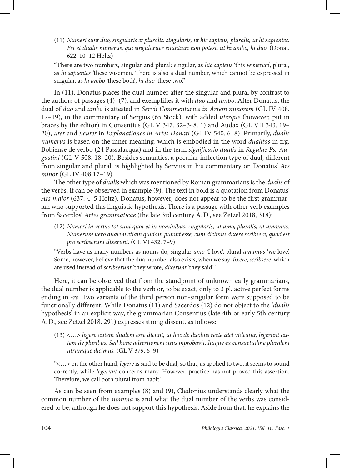(11) *Numeri sunt duo, singularis et pluralis: singularis, ut hic sapiens, pluralis, ut hi sapientes. Est et dualis numerus, qui singulariter enuntiari non potest, ut hi ambo, hi duo.* (Donat. 622. 10–12 Holtz)

"There are two numbers, singular and plural: singular, as *hic sapiens* 'this wiseman', plural, as *hi sapientes* 'these wisemen'. There is also a dual number, which cannot be expressed in singular, as *hi ambo* 'these both'*, hi duo* 'these two'."

In (11), Donatus places the dual number after the singular and plural by contrast to the authors of passages (4)–(7), and exemplifies it with *duo* and *ambo*. After Donatus, the dual of *duo* and *ambo* is attested in *Servii Commentarius in Artem minorem* (GL IV 408. 17–19), in the commentary of Sergius (65 Stock), with added *uterque* (however, put in braces by the editor) in Consentius (GL V 347. 32–348. 1) and Audax (GL VII 343. 19– 20), *uter* and *neuter* in *Explanationes in Artes Donati* (GL IV 540. 6–8). Primarily, *dualis numerus* is based on the inner meaning, which is embodied in the word *dualitas* in frg. Bobiense de verbo (24 Passalacqua) and in the term *significatio dualis* in *Regulae Ps.-Augustini* (GL V 508. 18–20). Besides semantics, a peculiar inflection type of dual, different from singular and plural, is highlighted by Servius in his commentary on Donatus' *Ars minor* (GL IV 408.17–19).

The other type of *dualis* which was mentioned by Roman grammarians is the *dualis* of the verbs. It can be observed in example (9). The text in bold is a quotation from Donatus' *Ars maior* (637. 4–5 Holtz). Donatus, however, does not appear to be the first grammarian who supported this linguistic hypothesis. There is a passage with other verb examples from Sacerdos' *Artes grammaticae* (the late 3rd century A.D., see Zetzel 2018, 318):

(12) *Numeri in verbis tot sunt quot et in nominibus, singularis, ut amo, pluralis, ut amamus. Numerum uero dualem etiam quidam putant esse, cum dicimus dixere scribsere, quod est pro scribserunt dixerunt.* (GL VI 432. 7–9)

"Verbs have as many numbers as nouns do, singular *amo* 'I love', plural *amamus* 'we love'. Some, however, believe that the dual number also exists, when we say *dixere*, *scribsere*, which are used instead of *scribserunt* 'they wrote', *dixerunt* 'they said'."

Here, it can be observed that from the standpoint of unknown early grammarians, the dual number is applicable to the verb or, to be exact, only to 3 pl. active perfect forms ending in -*re*. Two variants of the third person non-singular form were supposed to be functionally different. While Donatus (11) and Sacerdos (12) do not object to the '*dualis* hypothesis' in an explicit way, the grammarian Consentius (late 4th or early 5th century A.D., see Zetzel 2018, 291) expresses strong dissent, as follows:

(13) <…> *legere autem dualem esse dicunt, ut hoc de duobus recte dici videatur, legerunt autem de pluribus. Sed hanc adsertionem usus inprobavit. Itaque ex consuetudine pluralem utrumque dicimus.* (GL V 379. 6–9)

"<…> on the other hand, *legere* is said to be dual, so that, as applied to two, it seems to sound correctly, while *legerunt* concerns many. However, practice has not proved this assertion. Therefore, we call both plural from habit."

As can be seen from examples (8) and (9), Cledonius understands clearly what the common number of the *nomina* is and what the dual number of the verbs was considered to be, although he does not support this hypothesis. Aside from that, he explains the